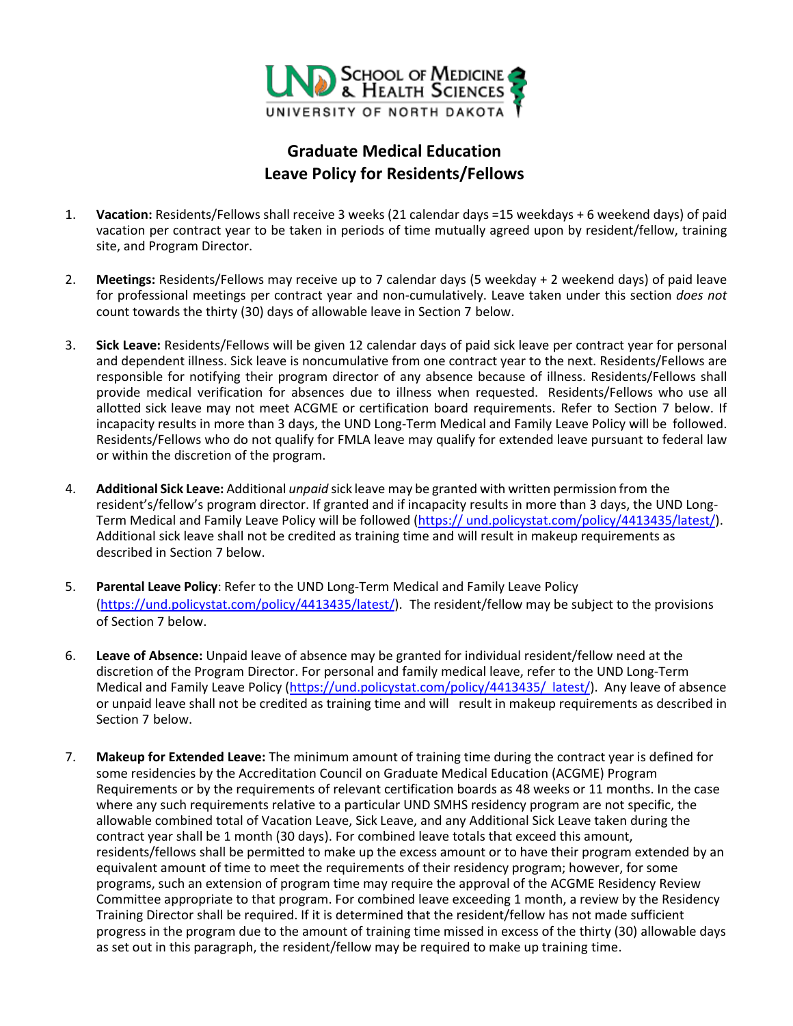

## **Graduate Medical Education Leave Policy for Residents/Fellows**

- 1. **Vacation:** Residents/Fellows shall receive 3 weeks (21 calendar days =15 weekdays + 6 weekend days) of paid vacation per contract year to be taken in periods of time mutually agreed upon by resident/fellow, training site, and Program Director.
- 2. **Meetings:** Residents/Fellows may receive up to 7 calendar days (5 weekday + 2 weekend days) of paid leave for professional meetings per contract year and non-cumulatively. Leave taken under this section *does not*  count towards the thirty (30) days of allowable leave in Section 7 below.
- 3. **Sick Leave:** Residents/Fellows will be given 12 calendar days of paid sick leave per contract year for personal and dependent illness. Sick leave is noncumulative from one contract year to the next. Residents/Fellows are responsible for notifying their program director of any absence because of illness. Residents/Fellows shall provide medical verification for absences due to illness when requested. Residents/Fellows who use all allotted sick leave may not meet ACGME or certification board requirements. Refer to Section 7 below. If incapacity results in more than 3 days, the UND Long-Term Medical and Family Leave Policy will be followed. Residents/Fellows who do not qualify for FMLA leave may qualify for extended leave pursuant to federal law or within the discretion of the program.
- 4. **Additional Sick Leave:** Additional *unpaid* sick leave may be granted with written permission from the resident's/fellow's program director. If granted and if incapacity results in more than 3 days, the UND Long-Term Medical and Family Leave Policy will be followe[d \(https://](http://und.edu/finance-operations/_files/docs/3-8-long-term-fmla-leave.pdf) [und.policystat.com/policy/4413435/latest/\).](https://und.policystat.com/policy/4413435/latest/)  [Additional](https://und.policystat.com/policy/4413435/latest/) sick leave shall not be credited as training time and will result in makeup requirements as described in Section 7 below.
- 5. **Parental Leave Policy**: Refer to the UND Long-Term Medical and Family Leave Policy [\(https://und.policystat.com/policy/4413435/latest/\). The](https://und.policystat.com/policy/4413435/latest/) resident/fellow may be subject to the provisions of Section 7 below.
- 6. **Leave of Absence:** Unpaid leave of absence may be granted for individual resident/fellow need at the discretion of the Program Director. For personal and family medical leave, refer to the UND Long-Term Medical and Family Leave Policy [\(https://und.policystat.com/policy/4413435/](https://und.policystat.com/policy/4413435/latest/) [latest/\). Any leave of abs](http://und.edu/finance-operations/_files/docs/3-8-long-term-fmla-leave.pdf)ence or unpaid leave shall not be credited as training time and will result in makeup requirements as described in Section 7 below.
- 7. **Makeup for Extended Leave:** The minimum amount of training time during the contract year is defined for some residencies by the Accreditation Council on Graduate Medical Education (ACGME) Program Requirements or by the requirements of relevant certification boards as 48 weeks or 11 months. In the case where any such requirements relative to a particular UND SMHS residency program are not specific, the allowable combined total of Vacation Leave, Sick Leave, and any Additional Sick Leave taken during the contract year shall be 1 month (30 days). For combined leave totals that exceed this amount, residents/fellows shall be permitted to make up the excess amount or to have their program extended by an equivalent amount of time to meet the requirements of their residency program; however, for some programs, such an extension of program time may require the approval of the ACGME Residency Review Committee appropriate to that program. For combined leave exceeding 1 month, a review by the Residency Training Director shall be required. If it is determined that the resident/fellow has not made sufficient progress in the program due to the amount of training time missed in excess of the thirty (30) allowable days as set out in this paragraph, the resident/fellow may be required to make up training time.